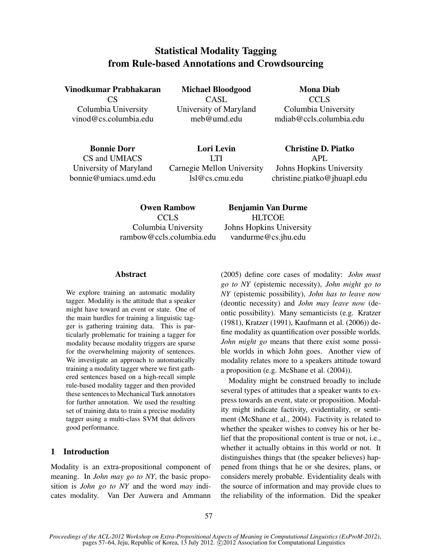# Statistical Modality Tagging from Rule-based Annotations and Crowdsourcing

Vinodkumar Prabhakaran Michael Bloodgood Mona Diab

CS CASL COLS Columbia University University of Maryland Columbia University

vinod@cs.columbia.edu meb@umd.edu mdiab@ccls.columbia.edu

Bonnie Dorr Lori Levin Christine D. Piatko CS and UMIACS LTI APL University of Maryland Carnegie Mellon University Johns Hopkins University bonnie@umiacs.umd.edu lsl@cs.cmu.edu christine.piatko@jhuapl.edu

rambow@ccls.columbia.edu vandurme@cs.jhu.edu

Owen Rambow Benjamin Van Durme CCLS HLTCOE Columbia University Johns Hopkins University

## Abstract

We explore training an automatic modality tagger. Modality is the attitude that a speaker might have toward an event or state. One of the main hurdles for training a linguistic tagger is gathering training data. This is particularly problematic for training a tagger for modality because modality triggers are sparse for the overwhelming majority of sentences. We investigate an approach to automatically training a modality tagger where we first gathered sentences based on a high-recall simple rule-based modality tagger and then provided these sentences to Mechanical Turk annotators for further annotation. We used the resulting set of training data to train a precise modality tagger using a multi-class SVM that delivers good performance.

## 1 Introduction

Modality is an extra-propositional component of meaning. In *John may go to NY*, the basic proposition is *John go to NY* and the word *may* indicates modality. Van Der Auwera and Ammann (2005) define core cases of modality: *John must go to NY* (epistemic necessity), *John might go to NY* (epistemic possibility), *John has to leave now* (deontic necessity) and *John may leave now* (deontic possibility). Many semanticists (e.g. Kratzer (1981), Kratzer (1991), Kaufmann et al. (2006)) define modality as quantification over possible worlds. *John might go* means that there exist some possible worlds in which John goes. Another view of modality relates more to a speakers attitude toward a proposition (e.g. McShane et al. (2004)).

Modality might be construed broadly to include several types of attitudes that a speaker wants to express towards an event, state or proposition. Modality might indicate factivity, evidentiality, or sentiment (McShane et al., 2004). Factivity is related to whether the speaker wishes to convey his or her belief that the propositional content is true or not, i.e., whether it actually obtains in this world or not. It distinguishes things that (the speaker believes) happened from things that he or she desires, plans, or considers merely probable. Evidentiality deals with the source of information and may provide clues to the reliability of the information. Did the speaker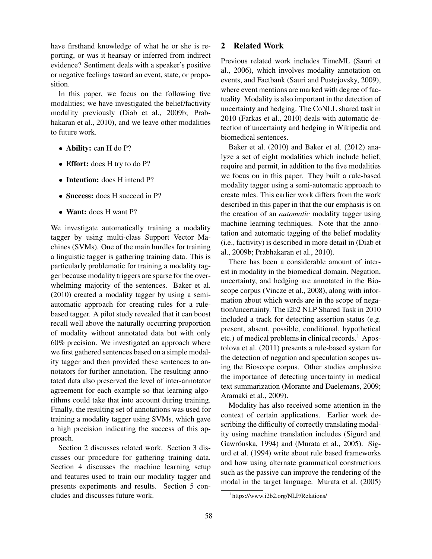have firsthand knowledge of what he or she is reporting, or was it hearsay or inferred from indirect evidence? Sentiment deals with a speaker's positive or negative feelings toward an event, state, or proposition.

In this paper, we focus on the following five modalities; we have investigated the belief/factivity modality previously (Diab et al., 2009b; Prabhakaran et al., 2010), and we leave other modalities to future work.

- Ability: can H do P?
- Effort: does H try to do P?
- Intention: does H intend P?
- Success: does H succeed in P?
- Want: does H want P?

We investigate automatically training a modality tagger by using multi-class Support Vector Machines (SVMs). One of the main hurdles for training a linguistic tagger is gathering training data. This is particularly problematic for training a modality tagger because modality triggers are sparse for the overwhelming majority of the sentences. Baker et al. (2010) created a modality tagger by using a semiautomatic approach for creating rules for a rulebased tagger. A pilot study revealed that it can boost recall well above the naturally occurring proportion of modality without annotated data but with only 60% precision. We investigated an approach where we first gathered sentences based on a simple modality tagger and then provided these sentences to annotators for further annotation, The resulting annotated data also preserved the level of inter-annotator agreement for each example so that learning algorithms could take that into account during training. Finally, the resulting set of annotations was used for training a modality tagger using SVMs, which gave a high precision indicating the success of this approach.

Section 2 discusses related work. Section 3 discusses our procedure for gathering training data. Section 4 discusses the machine learning setup and features used to train our modality tagger and presents experiments and results. Section 5 concludes and discusses future work.

## 2 Related Work

Previous related work includes TimeML (Sauri et al., 2006), which involves modality annotation on events, and Factbank (Sauri and Pustejovsky, 2009), where event mentions are marked with degree of factuality. Modality is also important in the detection of uncertainty and hedging. The CoNLL shared task in 2010 (Farkas et al., 2010) deals with automatic detection of uncertainty and hedging in Wikipedia and biomedical sentences.

Baker et al. (2010) and Baker et al. (2012) analyze a set of eight modalities which include belief, require and permit, in addition to the five modalities we focus on in this paper. They built a rule-based modality tagger using a semi-automatic approach to create rules. This earlier work differs from the work described in this paper in that the our emphasis is on the creation of an *automatic* modality tagger using machine learning techniques. Note that the annotation and automatic tagging of the belief modality (i.e., factivity) is described in more detail in (Diab et al., 2009b; Prabhakaran et al., 2010).

There has been a considerable amount of interest in modality in the biomedical domain. Negation, uncertainty, and hedging are annotated in the Bioscope corpus (Vincze et al., 2008), along with information about which words are in the scope of negation/uncertainty. The i2b2 NLP Shared Task in 2010 included a track for detecting assertion status (e.g. present, absent, possible, conditional, hypothetical etc.) of medical problems in clinical records. $<sup>1</sup>$  Apos-</sup> tolova et al. (2011) presents a rule-based system for the detection of negation and speculation scopes using the Bioscope corpus. Other studies emphasize the importance of detecting uncertainty in medical text summarization (Morante and Daelemans, 2009; Aramaki et al., 2009).

Modality has also received some attention in the context of certain applications. Earlier work describing the difficulty of correctly translating modality using machine translation includes (Sigurd and Gawrónska, 1994) and (Murata et al., 2005). Sigurd et al. (1994) write about rule based frameworks and how using alternate grammatical constructions such as the passive can improve the rendering of the modal in the target language. Murata et al. (2005)

<sup>1</sup> https://www.i2b2.org/NLP/Relations/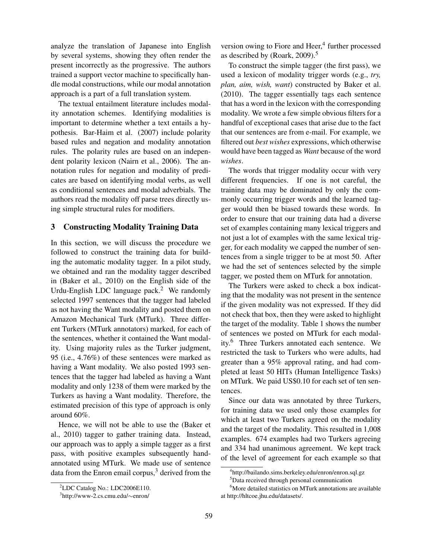analyze the translation of Japanese into English by several systems, showing they often render the present incorrectly as the progressive. The authors trained a support vector machine to specifically handle modal constructions, while our modal annotation approach is a part of a full translation system.

The textual entailment literature includes modality annotation schemes. Identifying modalities is important to determine whether a text entails a hypothesis. Bar-Haim et al. (2007) include polarity based rules and negation and modality annotation rules. The polarity rules are based on an independent polarity lexicon (Nairn et al., 2006). The annotation rules for negation and modality of predicates are based on identifying modal verbs, as well as conditional sentences and modal adverbials. The authors read the modality off parse trees directly using simple structural rules for modifiers.

## 3 Constructing Modality Training Data

In this section, we will discuss the procedure we followed to construct the training data for building the automatic modality tagger. In a pilot study, we obtained and ran the modality tagger described in (Baker et al., 2010) on the English side of the Urdu-English LDC language pack.<sup>2</sup> We randomly selected 1997 sentences that the tagger had labeled as not having the Want modality and posted them on Amazon Mechanical Turk (MTurk). Three different Turkers (MTurk annotators) marked, for each of the sentences, whether it contained the Want modality. Using majority rules as the Turker judgment, 95 (i.e., 4.76%) of these sentences were marked as having a Want modality. We also posted 1993 sentences that the tagger had labeled as having a Want modality and only 1238 of them were marked by the Turkers as having a Want modality. Therefore, the estimated precision of this type of approach is only around 60%.

Hence, we will not be able to use the (Baker et al., 2010) tagger to gather training data. Instead, our approach was to apply a simple tagger as a first pass, with positive examples subsequently handannotated using MTurk. We made use of sentence data from the Enron email corpus, $3$  derived from the

version owing to Fiore and Heer,<sup>4</sup> further processed as described by (Roark, 2009).<sup>5</sup>

To construct the simple tagger (the first pass), we used a lexicon of modality trigger words (e.g., *try, plan, aim, wish, want*) constructed by Baker et al. (2010). The tagger essentially tags each sentence that has a word in the lexicon with the corresponding modality. We wrote a few simple obvious filters for a handful of exceptional cases that arise due to the fact that our sentences are from e-mail. For example, we filtered out *best wishes* expressions, which otherwise would have been tagged as *Want* because of the word *wishes*.

The words that trigger modality occur with very different frequencies. If one is not careful, the training data may be dominated by only the commonly occurring trigger words and the learned tagger would then be biased towards these words. In order to ensure that our training data had a diverse set of examples containing many lexical triggers and not just a lot of examples with the same lexical trigger, for each modality we capped the number of sentences from a single trigger to be at most 50. After we had the set of sentences selected by the simple tagger, we posted them on MTurk for annotation.

The Turkers were asked to check a box indicating that the modality was not present in the sentence if the given modality was not expressed. If they did not check that box, then they were asked to highlight the target of the modality. Table 1 shows the number of sentences we posted on MTurk for each modality.<sup>6</sup> Three Turkers annotated each sentence. We restricted the task to Turkers who were adults, had greater than a 95% approval rating, and had completed at least 50 HITs (Human Intelligence Tasks) on MTurk. We paid US\$0.10 for each set of ten sentences.

Since our data was annotated by three Turkers, for training data we used only those examples for which at least two Turkers agreed on the modality and the target of the modality. This resulted in 1,008 examples. 674 examples had two Turkers agreeing and 334 had unanimous agreement. We kept track of the level of agreement for each example so that

<sup>2</sup>LDC Catalog No.: LDC2006E110.

<sup>3</sup> http://www-2.cs.cmu.edu/∼enron/

<sup>4</sup> http://bailando.sims.berkeley.edu/enron/enron.sql.gz

<sup>&</sup>lt;sup>5</sup>Data received through personal communication

<sup>&</sup>lt;sup>6</sup>More detailed statistics on MTurk annotations are available at http://hltcoe.jhu.edu/datasets/.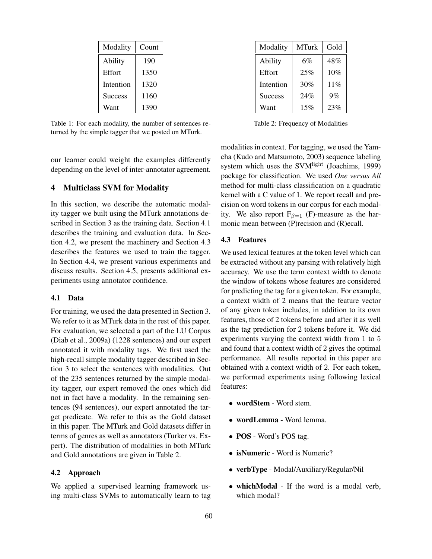| Modality       | Count |  |  |
|----------------|-------|--|--|
| Ability        | 190   |  |  |
| Effort         | 1350  |  |  |
| Intention      | 1320  |  |  |
| <b>Success</b> | 1160  |  |  |
| Want           | 1390  |  |  |

Table 1: For each modality, the number of sentences returned by the simple tagger that we posted on MTurk.

our learner could weight the examples differently depending on the level of inter-annotator agreement.

## 4 Multiclass SVM for Modality

In this section, we describe the automatic modality tagger we built using the MTurk annotations described in Section 3 as the training data. Section 4.1 describes the training and evaluation data. In Section 4.2, we present the machinery and Section 4.3 describes the features we used to train the tagger. In Section 4.4, we present various experiments and discuss results. Section 4.5, presents additional experiments using annotator confidence.

## 4.1 Data

For training, we used the data presented in Section 3. We refer to it as MTurk data in the rest of this paper. For evaluation, we selected a part of the LU Corpus (Diab et al., 2009a) (1228 sentences) and our expert annotated it with modality tags. We first used the high-recall simple modality tagger described in Section 3 to select the sentences with modalities. Out of the 235 sentences returned by the simple modality tagger, our expert removed the ones which did not in fact have a modality. In the remaining sentences (94 sentences), our expert annotated the target predicate. We refer to this as the Gold dataset in this paper. The MTurk and Gold datasets differ in terms of genres as well as annotators (Turker vs. Expert). The distribution of modalities in both MTurk and Gold annotations are given in Table 2.

#### 4.2 Approach

We applied a supervised learning framework using multi-class SVMs to automatically learn to tag

| Modality       | <b>MTurk</b> | Gold |
|----------------|--------------|------|
| Ability        | 6%           | 48%  |
| Effort         | 25%          | 10%  |
| Intention      | 30%          | 11%  |
| <b>Success</b> | 24%          | 9%   |
| Want           | 15%          | 23%  |

Table 2: Frequency of Modalities

modalities in context. For tagging, we used the Yamcha (Kudo and Matsumoto, 2003) sequence labeling system which uses the SVM<sup>light</sup> (Joachims, 1999) package for classification. We used *One versus All* method for multi-class classification on a quadratic kernel with a C value of 1. We report recall and precision on word tokens in our corpus for each modality. We also report  $F_{\beta=1}$  (F)-measure as the harmonic mean between (P)recision and (R)ecall.

#### 4.3 Features

We used lexical features at the token level which can be extracted without any parsing with relatively high accuracy. We use the term context width to denote the window of tokens whose features are considered for predicting the tag for a given token. For example, a context width of 2 means that the feature vector of any given token includes, in addition to its own features, those of 2 tokens before and after it as well as the tag prediction for 2 tokens before it. We did experiments varying the context width from 1 to 5 and found that a context width of 2 gives the optimal performance. All results reported in this paper are obtained with a context width of 2. For each token, we performed experiments using following lexical features:

- wordStem Word stem.
- wordLemma Word lemma.
- POS Word's POS tag.
- isNumeric Word is Numeric?
- verbType Modal/Auxiliary/Regular/Nil
- whichModal If the word is a modal verb, which modal?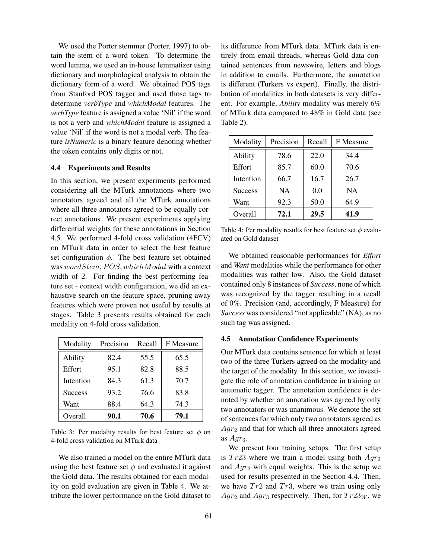We used the Porter stemmer (Porter, 1997) to obtain the stem of a word token. To determine the word lemma, we used an in-house lemmatizer using dictionary and morphological analysis to obtain the dictionary form of a word. We obtained POS tags from Stanford POS tagger and used those tags to determine *verbType* and *whichModal* features. The *verbType* feature is assigned a value 'Nil' if the word is not a verb and *whichModal* feature is assigned a value 'Nil' if the word is not a modal verb. The feature *isNumeric* is a binary feature denoting whether the token contains only digits or not.

## 4.4 Experiments and Results

In this section, we present experiments performed considering all the MTurk annotations where two annotators agreed and all the MTurk annotations where all three annotators agreed to be equally correct annotations. We present experiments applying differential weights for these annotations in Section 4.5. We performed 4-fold cross validation (4FCV) on MTurk data in order to select the best feature set configuration  $\phi$ . The best feature set obtained was wordStem, POS, whichModal with a context width of 2. For finding the best performing feature set - context width configuration, we did an exhaustive search on the feature space, pruning away features which were proven not useful by results at stages. Table 3 presents results obtained for each modality on 4-fold cross validation.

| Modality       | Precision | Recall | F Measure |
|----------------|-----------|--------|-----------|
| Ability        | 82.4      | 55.5   | 65.5      |
| Effort         | 95.1      | 82.8   | 88.5      |
| Intention      | 84.3      | 61.3   | 70.7      |
| <b>Success</b> | 93.2      | 76.6   | 83.8      |
| Want           | 88.4      | 64.3   | 74.3      |
| Overall        | 90.1      | 70.6   | 79.1      |

Table 3: Per modality results for best feature set  $\phi$  on 4-fold cross validation on MTurk data

We also trained a model on the entire MTurk data using the best feature set  $\phi$  and evaluated it against the Gold data. The results obtained for each modality on gold evaluation are given in Table 4. We attribute the lower performance on the Gold dataset to its difference from MTurk data. MTurk data is entirely from email threads, whereas Gold data contained sentences from newswire, letters and blogs in addition to emails. Furthermore, the annotation is different (Turkers vs expert). Finally, the distribution of modalities in both datasets is very different. For example, *Ability* modality was merely 6% of MTurk data compared to 48% in Gold data (see Table 2).

| Modality       | Precision | Recall | F Measure |
|----------------|-----------|--------|-----------|
| Ability        | 78.6      | 22.0   | 34.4      |
| Effort         | 85.7      | 60.0   | 70.6      |
| Intention      | 66.7      | 16.7   | 26.7      |
| <b>Success</b> | <b>NA</b> | 0.0    | <b>NA</b> |
| Want           | 92.3      | 50.0   | 64.9      |
| Overall        | 72.1      | 29.5   | 41.9      |

Table 4: Per modality results for best feature set  $\phi$  evaluated on Gold dataset

We obtained reasonable performances for *Effort* and *Want* modalities while the performance for other modalities was rather low. Also, the Gold dataset contained only 8 instances of *Success*, none of which was recognized by the tagger resulting in a recall of 0%. Precision (and, accordingly, F Measure) for *Success* was considered "not applicable" (NA), as no such tag was assigned.

## 4.5 Annotation Confidence Experiments

Our MTurk data contains sentence for which at least two of the three Turkers agreed on the modality and the target of the modality. In this section, we investigate the role of annotation confidence in training an automatic tagger. The annotation confidence is denoted by whether an annotation was agreed by only two annotators or was unanimous. We denote the set of sentences for which only two annotators agreed as  $Aqr<sub>2</sub>$  and that for which all three annotators agreed as  $Agr_3$ .

We present four training setups. The first setup is  $Tr23$  where we train a model using both  $Agr_2$ and  $Aqr_3$  with equal weights. This is the setup we used for results presented in the Section 4.4. Then, we have  $Tr2$  and  $Tr3$ , where we train using only  $Agr_2$  and  $Agr_3$  respectively. Then, for  $Tr23_W$ , we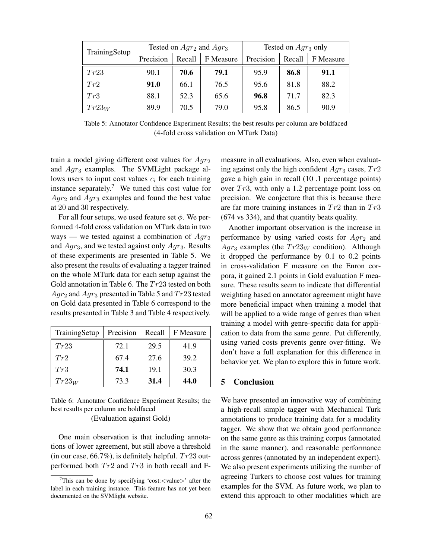| TrainingSetup | Tested on $Agr_2$ and $Agr_3$ |        | Tested on $Agr_3$ only |           |        |           |
|---------------|-------------------------------|--------|------------------------|-----------|--------|-----------|
|               | Precision                     | Recall | F Measure              | Precision | Recall | F Measure |
| Tr23          | 90.1                          | 70.6   | 79.1                   | 95.9      | 86.8   | 91.1      |
| Tr2           | 91.0                          | 66.1   | 76.5                   | 95.6      | 81.8   | 88.2      |
| Tr3           | 88.1                          | 52.3   | 65.6                   | 96.8      | 71.7   | 82.3      |
| $Tr23_W$      | 89.9                          | 70.5   | 79.0                   | 95.8      | 86.5   | 90.9      |

Table 5: Annotator Confidence Experiment Results; the best results per column are boldfaced (4-fold cross validation on MTurk Data)

train a model giving different cost values for  $Agr_2$ and Agr<sub>3</sub> examples. The SVMLight package allows users to input cost values  $c_i$  for each training instance separately.<sup>7</sup> We tuned this cost value for  $Agr_2$  and  $Agr_3$  examples and found the best value at 20 and 30 respectively.

For all four setups, we used feature set  $\phi$ . We performed 4-fold cross validation on MTurk data in two ways — we tested against a combination of  $Agr_2$ and  $Agr_3$ , and we tested against only  $Agr_3$ . Results of these experiments are presented in Table 5. We also present the results of evaluating a tagger trained on the whole MTurk data for each setup against the Gold annotation in Table 6. The  $Tr23$  tested on both  $Agr_2$  and  $Agr_3$  presented in Table 5 and  $Tr23$  tested on Gold data presented in Table 6 correspond to the results presented in Table 3 and Table 4 respectively.

| TrainingSetup | Precision | Recall | F Measure |
|---------------|-----------|--------|-----------|
| Tr23          | 72.1      | 29.5   | 41.9      |
| Tr2           | 67.4      | 27.6   | 39.2      |
| Tr3           | 74.1      | 19.1   | 30.3      |
| $Tr23_W$      | 73.3      | 31.4   | 44.0      |

Table 6: Annotator Confidence Experiment Results; the best results per column are boldfaced

(Evaluation against Gold)

One main observation is that including annotations of lower agreement, but still above a threshold (in our case,  $66.7\%$ ), is definitely helpful.  $Tr23$  outperformed both  $Tr2$  and  $Tr3$  in both recall and F-

measure in all evaluations. Also, even when evaluating against only the high confident  $Agr_3$  cases,  $Tr2$ gave a high gain in recall (10 .1 percentage points) over  $Tr3$ , with only a 1.2 percentage point loss on precision. We conjecture that this is because there are far more training instances in  $Tr2$  than in  $Tr3$ (674 vs 334), and that quantity beats quality.

Another important observation is the increase in performance by using varied costs for  $Aqr_2$  and  $Agr_3$  examples (the  $Tr23_W$  condition). Although it dropped the performance by 0.1 to 0.2 points in cross-validation F measure on the Enron corpora, it gained 2.1 points in Gold evaluation F measure. These results seem to indicate that differential weighting based on annotator agreement might have more beneficial impact when training a model that will be applied to a wide range of genres than when training a model with genre-specific data for application to data from the same genre. Put differently, using varied costs prevents genre over-fitting. We don't have a full explanation for this difference in behavior yet. We plan to explore this in future work.

## **Conclusion**

We have presented an innovative way of combining a high-recall simple tagger with Mechanical Turk annotations to produce training data for a modality tagger. We show that we obtain good performance on the same genre as this training corpus (annotated in the same manner), and reasonable performance across genres (annotated by an independent expert). We also present experiments utilizing the number of agreeing Turkers to choose cost values for training examples for the SVM. As future work, we plan to extend this approach to other modalities which are

<sup>&</sup>lt;sup>7</sup>This can be done by specifying 'cost:  $\lt$  value  $>$ ' after the label in each training instance. This feature has not yet been documented on the SVMlight website.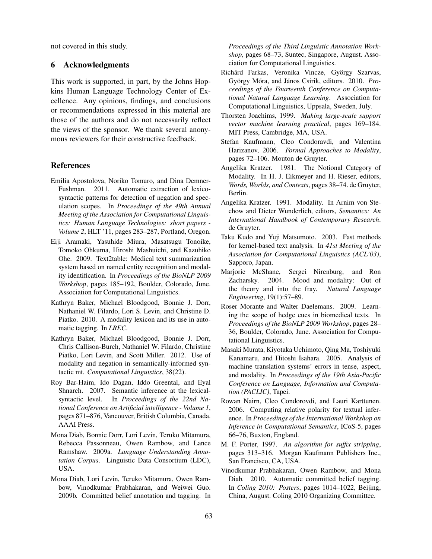not covered in this study.

## 6 Acknowledgments

This work is supported, in part, by the Johns Hopkins Human Language Technology Center of Excellence. Any opinions, findings, and conclusions or recommendations expressed in this material are those of the authors and do not necessarily reflect the views of the sponsor. We thank several anonymous reviewers for their constructive feedback.

#### References

- Emilia Apostolova, Noriko Tomuro, and Dina Demner-Fushman. 2011. Automatic extraction of lexicosyntactic patterns for detection of negation and speculation scopes. In *Proceedings of the 49th Annual Meeting of the Association for Computational Linguistics: Human Language Technologies: short papers - Volume 2*, HLT '11, pages 283–287, Portland, Oregon.
- Eiji Aramaki, Yasuhide Miura, Masatsugu Tonoike, Tomoko Ohkuma, Hiroshi Mashuichi, and Kazuhiko Ohe. 2009. Text2table: Medical text summarization system based on named entity recognition and modality identification. In *Proceedings of the BioNLP 2009 Workshop*, pages 185–192, Boulder, Colorado, June. Association for Computational Linguistics.
- Kathryn Baker, Michael Bloodgood, Bonnie J. Dorr, Nathaniel W. Filardo, Lori S. Levin, and Christine D. Piatko. 2010. A modality lexicon and its use in automatic tagging. In *LREC*.
- Kathryn Baker, Michael Bloodgood, Bonnie J. Dorr, Chris Callison-Burch, Nathaniel W. Filardo, Christine Piatko, Lori Levin, and Scott Miller. 2012. Use of modality and negation in semantically-informed syntactic mt. *Computational Linguistics*, 38(22).
- Roy Bar-Haim, Ido Dagan, Iddo Greental, and Eyal Shnarch. 2007. Semantic inference at the lexicalsyntactic level. In *Proceedings of the 22nd National Conference on Artificial intelligence - Volume 1*, pages 871–876, Vancouver, British Columbia, Canada. AAAI Press.
- Mona Diab, Bonnie Dorr, Lori Levin, Teruko Mitamura, Rebecca Passonneau, Owen Rambow, and Lance Ramshaw. 2009a. *Language Understanding Annotation Corpus*. Linguistic Data Consortium (LDC), USA.
- Mona Diab, Lori Levin, Teruko Mitamura, Owen Rambow, Vinodkumar Prabhakaran, and Weiwei Guo. 2009b. Committed belief annotation and tagging. In

*Proceedings of the Third Linguistic Annotation Workshop*, pages 68–73, Suntec, Singapore, August. Association for Computational Linguistics.

- Richárd Farkas, Veronika Vincze, György Szarvas, György Móra, and János Csirik, editors. 2010. Pro*ceedings of the Fourteenth Conference on Computational Natural Language Learning*. Association for Computational Linguistics, Uppsala, Sweden, July.
- Thorsten Joachims, 1999. *Making large-scale support vector machine learning practical*, pages 169–184. MIT Press, Cambridge, MA, USA.
- Stefan Kaufmann, Cleo Condoravdi, and Valentina Harizanov, 2006. *Formal Approaches to Modality*, pages 72–106. Mouton de Gruyter.
- Angelika Kratzer. 1981. The Notional Category of Modality. In H. J. Eikmeyer and H. Rieser, editors, *Words, Worlds, and Contexts*, pages 38–74. de Gruyter, Berlin.
- Angelika Kratzer. 1991. Modality. In Arnim von Stechow and Dieter Wunderlich, editors, *Semantics: An International Handbook of Contemporary Research*. de Gruyter.
- Taku Kudo and Yuji Matsumoto. 2003. Fast methods for kernel-based text analysis. In *41st Meeting of the Association for Computational Linguistics (ACL'03)*, Sapporo, Japan.
- Marjorie McShane, Sergei Nirenburg, and Ron Zacharsky. 2004. Mood and modality: Out of the theory and into the fray. *Natural Language Engineering*, 19(1):57–89.
- Roser Morante and Walter Daelemans. 2009. Learning the scope of hedge cues in biomedical texts. In *Proceedings of the BioNLP 2009 Workshop*, pages 28– 36, Boulder, Colorado, June. Association for Computational Linguistics.
- Masaki Murata, Kiyotaka Uchimoto, Qing Ma, Toshiyuki Kanamaru, and Hitoshi Isahara. 2005. Analysis of machine translation systems' errors in tense, aspect, and modality. In *Proceedings of the 19th Asia-Pacific Conference on Language, Information and Computation (PACLIC)*, Tapei.
- Rowan Nairn, Cleo Condorovdi, and Lauri Karttunen. 2006. Computing relative polarity for textual inference. In *Proceedings of the International Workshop on Inference in Computational Semantics*, ICoS-5, pages 66–76, Buxton, England.
- M. F. Porter, 1997. *An algorithm for suffix stripping*, pages 313–316. Morgan Kaufmann Publishers Inc., San Francisco, CA, USA.
- Vinodkumar Prabhakaran, Owen Rambow, and Mona Diab. 2010. Automatic committed belief tagging. In *Coling 2010: Posters*, pages 1014–1022, Beijing, China, August. Coling 2010 Organizing Committee.